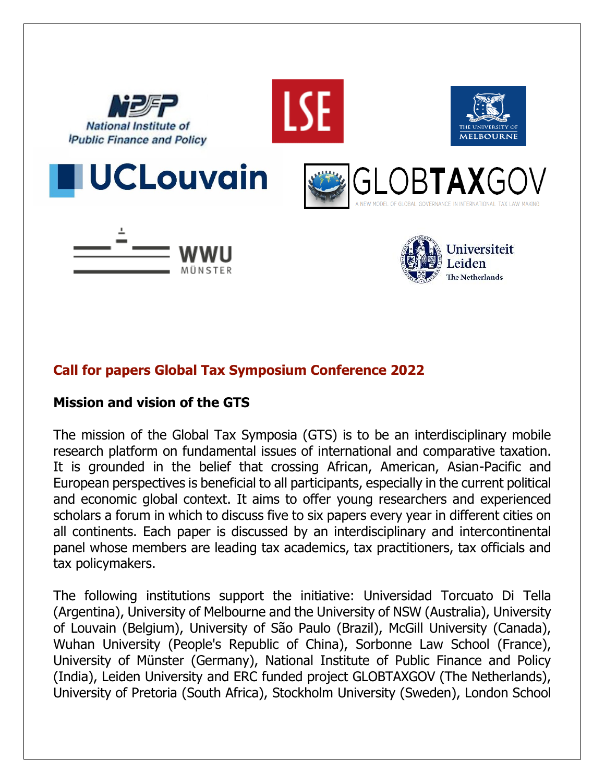

# **Call for papers Global Tax Symposium Conference 2022**

### **Mission and vision of the GTS**

The mission of the Global Tax Symposia (GTS) is to be an interdisciplinary mobile research platform on fundamental issues of international and comparative taxation. It is grounded in the belief that crossing African, American, Asian-Pacific and European perspectives is beneficial to all participants, especially in the current political and economic global context. It aims to offer young researchers and experienced scholars a forum in which to discuss five to six papers every year in different cities on all continents. Each paper is discussed by an interdisciplinary and intercontinental panel whose members are leading tax academics, tax practitioners, tax officials and tax policymakers.

The following institutions support the initiative: Universidad Torcuato Di Tella (Argentina), University of Melbourne and the University of NSW (Australia), University of Louvain (Belgium), University of São Paulo (Brazil), McGill University (Canada), Wuhan University (People's Republic of China), Sorbonne Law School (France), University of Münster (Germany), National Institute of Public Finance and Policy (India), Leiden University and ERC funded project GLOBTAXGOV (The Netherlands), University of Pretoria (South Africa), Stockholm University (Sweden), London School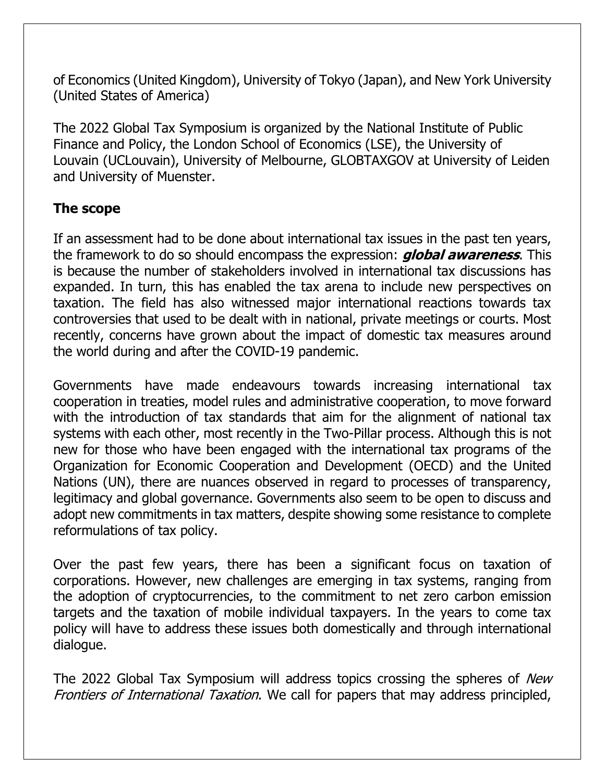of Economics (United Kingdom), University of Tokyo (Japan), and New York University (United States of America)

The 2022 Global Tax Symposium is organized by the National Institute of Public Finance and Policy, the London School of Economics (LSE), the University of Louvain (UCLouvain), University of Melbourne, GLOBTAXGOV at University of Leiden and University of Muenster.

# **The scope**

If an assessment had to be done about international tax issues in the past ten years, the framework to do so should encompass the expression: **global awareness**. This is because the number of stakeholders involved in international tax discussions has expanded. In turn, this has enabled the tax arena to include new perspectives on taxation. The field has also witnessed major international reactions towards tax controversies that used to be dealt with in national, private meetings or courts. Most recently, concerns have grown about the impact of domestic tax measures around the world during and after the COVID-19 pandemic.

Governments have made endeavours towards increasing international tax cooperation in treaties, model rules and administrative cooperation, to move forward with the introduction of tax standards that aim for the alignment of national tax systems with each other, most recently in the Two-Pillar process. Although this is not new for those who have been engaged with the international tax programs of the Organization for Economic Cooperation and Development (OECD) and the United Nations (UN), there are nuances observed in regard to processes of transparency, legitimacy and global governance. Governments also seem to be open to discuss and adopt new commitments in tax matters, despite showing some resistance to complete reformulations of tax policy.

Over the past few years, there has been a significant focus on taxation of corporations. However, new challenges are emerging in tax systems, ranging from the adoption of cryptocurrencies, to the commitment to net zero carbon emission targets and the taxation of mobile individual taxpayers. In the years to come tax policy will have to address these issues both domestically and through international dialogue.

The 2022 Global Tax Symposium will address topics crossing the spheres of New Frontiers of International Taxation. We call for papers that may address principled,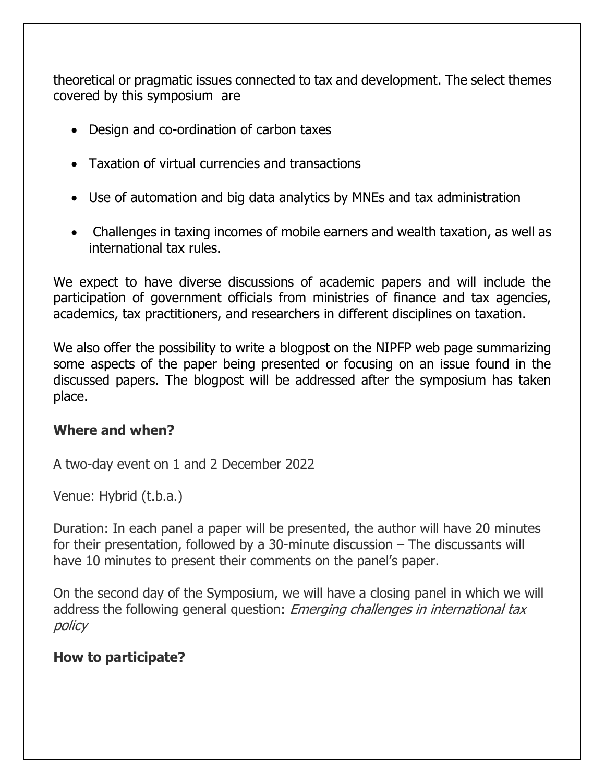theoretical or pragmatic issues connected to tax and development. The select themes covered by this symposium are

- Design and co-ordination of carbon taxes
- Taxation of virtual currencies and transactions
- Use of automation and big data analytics by MNEs and tax administration
- Challenges in taxing incomes of mobile earners and wealth taxation, as well as international tax rules.

We expect to have diverse discussions of academic papers and will include the participation of government officials from ministries of finance and tax agencies, academics, tax practitioners, and researchers in different disciplines on taxation.

We also offer the possibility to write a blogpost on the NIPFP web page summarizing some aspects of the paper being presented or focusing on an issue found in the discussed papers. The blogpost will be addressed after the symposium has taken place.

### **Where and when?**

A two-day event on 1 and 2 December 2022

Venue: Hybrid (t.b.a.)

Duration: In each panel a paper will be presented, the author will have 20 minutes for their presentation, followed by a 30-minute discussion – The discussants will have 10 minutes to present their comments on the panel's paper.

On the second day of the Symposium, we will have a closing panel in which we will address the following general question: *Emerging challenges in international tax* policy

## **How to participate?**